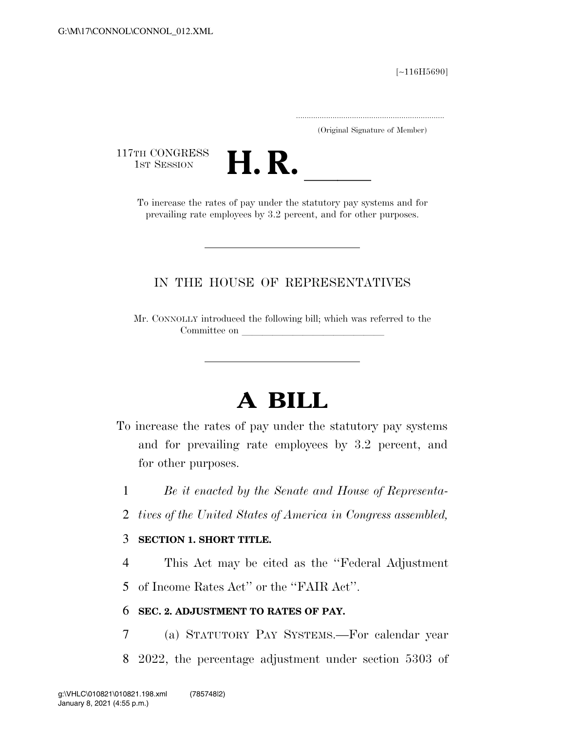[∼116H5690]

.....................................................................

(Original Signature of Member)

117TH CONGRESS<br>1st Session



TH CONGRESS<br>1st SESSION **H. R. I. B. CONGRESS** prevailing rate employees by 3.2 percent, and for other purposes.

## IN THE HOUSE OF REPRESENTATIVES

Mr. CONNOLLY introduced the following bill; which was referred to the Committee on

# **A BILL**

- To increase the rates of pay under the statutory pay systems and for prevailing rate employees by 3.2 percent, and for other purposes.
	- 1 *Be it enacted by the Senate and House of Representa-*
	- 2 *tives of the United States of America in Congress assembled,*

## 3 **SECTION 1. SHORT TITLE.**

4 This Act may be cited as the ''Federal Adjustment 5 of Income Rates Act'' or the ''FAIR Act''.

### 6 **SEC. 2. ADJUSTMENT TO RATES OF PAY.**

7 (a) STATUTORY PAY SYSTEMS.—For calendar year 8 2022, the percentage adjustment under section 5303 of